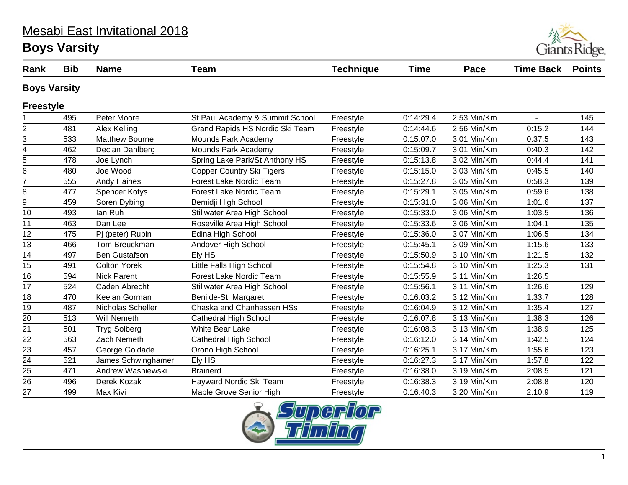#### Mesabi East Invitational 2018

## **Boys Varsity**



| Rank                | <b>Bib</b> | <b>Name</b>           | <b>Team</b>                      | <b>Technique</b> | <b>Time</b> | Pace        | <b>Time Back</b> | <b>Points</b> |
|---------------------|------------|-----------------------|----------------------------------|------------------|-------------|-------------|------------------|---------------|
| <b>Boys Varsity</b> |            |                       |                                  |                  |             |             |                  |               |
| <b>Freestyle</b>    |            |                       |                                  |                  |             |             |                  |               |
|                     | 495        | Peter Moore           | St Paul Academy & Summit School  | Freestyle        | 0:14:29.4   | 2:53 Min/Km | $\blacksquare$   | 145           |
| 2                   | 481        | Alex Kelling          | Grand Rapids HS Nordic Ski Team  | Freestyle        | 0:14:44.6   | 2:56 Min/Km | 0:15.2           | 144           |
| 3                   | 533        | <b>Matthew Bourne</b> | Mounds Park Academy              | Freestyle        | 0:15:07.0   | 3:01 Min/Km | 0:37.5           | 143           |
| 4                   | 462        | Declan Dahlberg       | Mounds Park Academy              | Freestyle        | 0:15:09.7   | 3:01 Min/Km | 0:40.3           | 142           |
| 5                   | 478        | Joe Lynch             | Spring Lake Park/St Anthony HS   | Freestyle        | 0:15:13.8   | 3:02 Min/Km | 0:44.4           | 141           |
| 6                   | 480        | Joe Wood              | <b>Copper Country Ski Tigers</b> | Freestyle        | 0:15:15.0   | 3:03 Min/Km | 0:45.5           | 140           |
| $\overline{7}$      | 555        | <b>Andy Haines</b>    | Forest Lake Nordic Team          | Freestyle        | 0:15:27.8   | 3:05 Min/Km | 0:58.3           | 139           |
| 8                   | 477        | <b>Spencer Kotys</b>  | <b>Forest Lake Nordic Team</b>   | Freestyle        | 0:15:29.1   | 3:05 Min/Km | 0:59.6           | 138           |
| 9                   | 459        | Soren Dybing          | Bemidji High School              | Freestyle        | 0:15:31.0   | 3:06 Min/Km | 1:01.6           | 137           |
| 10                  | 493        | lan Ruh               | Stillwater Area High School      | Freestyle        | 0:15:33.0   | 3:06 Min/Km | 1:03.5           | 136           |
| 11                  | 463        | Dan Lee               | Roseville Area High School       | Freestyle        | 0:15:33.6   | 3:06 Min/Km | 1:04.1           | 135           |
| $\overline{12}$     | 475        | Pj (peter) Rubin      | Edina High School                | Freestyle        | 0:15:36.0   | 3:07 Min/Km | 1:06.5           | 134           |
| 13                  | 466        | Tom Breuckman         | Andover High School              | Freestyle        | 0:15:45.1   | 3:09 Min/Km | 1:15.6           | 133           |
| $\overline{14}$     | 497        | <b>Ben Gustafson</b>  | Ely HS                           | Freestyle        | 0:15:50.9   | 3:10 Min/Km | 1:21.5           | 132           |
| 15                  | 491        | <b>Colton Yorek</b>   | Little Falls High School         | Freestyle        | 0:15:54.8   | 3:10 Min/Km | 1:25.3           | 131           |
| $\overline{16}$     | 594        | <b>Nick Parent</b>    | Forest Lake Nordic Team          | Freestyle        | 0:15:55.9   | 3:11 Min/Km | 1:26.5           |               |
| 17                  | 524        | Caden Abrecht         | Stillwater Area High School      | Freestyle        | 0:15:56.1   | 3:11 Min/Km | 1:26.6           | 129           |
| $\overline{18}$     | 470        | Keelan Gorman         | Benilde-St. Margaret             | Freestyle        | 0:16:03.2   | 3:12 Min/Km | 1:33.7           | 128           |
| 19                  | 487        | Nicholas Scheller     | Chaska and Chanhassen HSs        | Freestyle        | 0:16:04.9   | 3:12 Min/Km | 1:35.4           | 127           |
| $\overline{20}$     | 513        | <b>Will Nemeth</b>    | <b>Cathedral High School</b>     | Freestyle        | 0:16:07.8   | 3:13 Min/Km | 1:38.3           | 126           |
| 21                  | 501        | <b>Tryg Solberg</b>   | White Bear Lake                  | Freestyle        | 0:16:08.3   | 3:13 Min/Km | 1:38.9           | 125           |
| $\overline{22}$     | 563        | Zach Nemeth           | <b>Cathedral High School</b>     | Freestyle        | 0:16:12.0   | 3:14 Min/Km | 1:42.5           | 124           |
| 23                  | 457        | George Goldade        | Orono High School                | Freestyle        | 0:16:25.1   | 3:17 Min/Km | 1:55.6           | 123           |
| $\overline{24}$     | 521        | James Schwinghamer    | Ely HS                           | Freestyle        | 0:16:27.3   | 3:17 Min/Km | 1:57.8           | 122           |
| 25                  | 471        | Andrew Wasniewski     | <b>Brainerd</b>                  | Freestyle        | 0:16:38.0   | 3:19 Min/Km | 2:08.5           | 121           |
| $\overline{26}$     | 496        | Derek Kozak           | Hayward Nordic Ski Team          | Freestyle        | 0:16:38.3   | 3:19 Min/Km | 2:08.8           | 120           |
| 27                  | 499        | Max Kivi              | Maple Grove Senior High          | Freestyle        | 0:16:40.3   | 3:20 Min/Km | 2:10.9           | 119           |

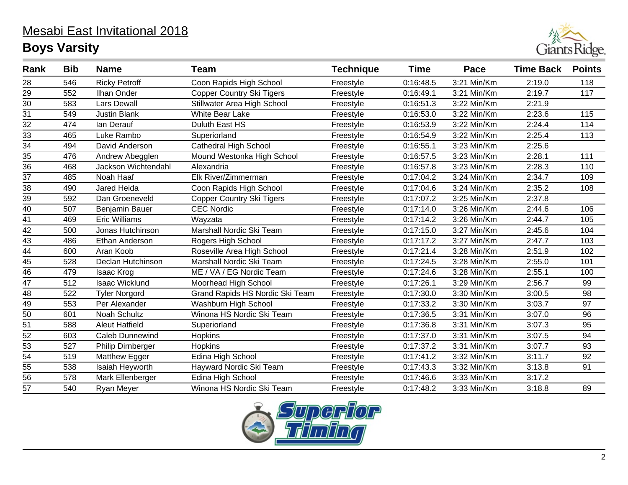

| Rank            | <b>Bib</b> | <b>Name</b>            | <b>Team</b>                      | <b>Technique</b> | <b>Time</b> | Pace        | <b>Time Back</b> | <b>Points</b> |
|-----------------|------------|------------------------|----------------------------------|------------------|-------------|-------------|------------------|---------------|
| 28              | 546        | <b>Ricky Petroff</b>   | Coon Rapids High School          | Freestyle        | 0:16:48.5   | 3:21 Min/Km | 2:19.0           | 118           |
| $\overline{29}$ | 552        | Ilhan Onder            | <b>Copper Country Ski Tigers</b> | Freestyle        | 0:16:49.1   | 3:21 Min/Km | 2:19.7           | 117           |
| 30              | 583        | <b>Lars Dewall</b>     | Stillwater Area High School      | Freestyle        | 0:16:51.3   | 3:22 Min/Km | 2:21.9           |               |
| $\overline{31}$ | 549        | <b>Justin Blank</b>    | White Bear Lake                  | Freestyle        | 0:16:53.0   | 3:22 Min/Km | 2:23.6           | 115           |
| $\frac{32}{33}$ | 474        | lan Derauf             | Duluth East HS                   | Freestyle        | 0:16:53.9   | 3:22 Min/Km | 2:24.4           | 114           |
|                 | 465        | Luke Rambo             | Superiorland                     | Freestyle        | 0:16:54.9   | 3:22 Min/Km | 2:25.4           | 113           |
| $\overline{34}$ | 494        | David Anderson         | <b>Cathedral High School</b>     | Freestyle        | 0:16:55.1   | 3:23 Min/Km | 2:25.6           |               |
| 35              | 476        | Andrew Abegglen        | Mound Westonka High School       | Freestyle        | 0:16:57.5   | 3:23 Min/Km | 2:28.1           | 111           |
| $\overline{36}$ | 468        | Jackson Wichtendahl    | Alexandria                       | Freestyle        | 0:16:57.8   | 3:23 Min/Km | 2:28.3           | 110           |
| 37              | 485        | Noah Haaf              | Elk River/Zimmerman              | Freestyle        | 0:17:04.2   | 3:24 Min/Km | 2:34.7           | 109           |
| 38              | 490        | Jared Heida            | Coon Rapids High School          | Freestyle        | 0:17:04.6   | 3:24 Min/Km | 2:35.2           | 108           |
| 39              | 592        | Dan Groeneveld         | <b>Copper Country Ski Tigers</b> | Freestyle        | 0:17:07.2   | 3:25 Min/Km | 2:37.8           |               |
| 40              | 507        | Benjamin Bauer         | <b>CEC Nordic</b>                | Freestyle        | 0:17:14.0   | 3:26 Min/Km | 2:44.6           | 106           |
| 41              | 469        | <b>Eric Williams</b>   | Wayzata                          | Freestyle        | 0:17:14.2   | 3:26 Min/Km | 2:44.7           | 105           |
| 42              | 500        | Jonas Hutchinson       | Marshall Nordic Ski Team         | Freestyle        | 0:17:15.0   | 3:27 Min/Km | 2:45.6           | 104           |
| 43              | 486        | Ethan Anderson         | Rogers High School               | Freestyle        | 0:17:17.2   | 3:27 Min/Km | 2:47.7           | 103           |
| $\overline{44}$ | 600        | Aran Koob              | Roseville Area High School       | Freestyle        | 0:17:21.4   | 3:28 Min/Km | 2:51.9           | 102           |
| 45              | 528        | Declan Hutchinson      | Marshall Nordic Ski Team         | Freestyle        | 0:17:24.5   | 3:28 Min/Km | 2:55.0           | 101           |
| $\overline{46}$ | 479        | Isaac Krog             | ME / VA / EG Nordic Team         | Freestyle        | 0:17:24.6   | 3:28 Min/Km | 2:55.1           | 100           |
| 47              | 512        | <b>Isaac Wicklund</b>  | Moorhead High School             | Freestyle        | 0:17:26.1   | 3:29 Min/Km | 2:56.7           | 99            |
| $\overline{48}$ | 522        | <b>Tyler Norgord</b>   | Grand Rapids HS Nordic Ski Team  | Freestyle        | 0:17:30.0   | 3:30 Min/Km | 3:00.5           | 98            |
| 49              | 553        | Per Alexander          | Washburn High School             | Freestyle        | 0:17:33.2   | 3:30 Min/Km | 3:03.7           | 97            |
| $\overline{50}$ | 601        | Noah Schultz           | Winona HS Nordic Ski Team        | Freestyle        | 0:17:36.5   | 3:31 Min/Km | 3:07.0           | 96            |
| $\overline{51}$ | 588        | <b>Aleut Hatfield</b>  | Superiorland                     | Freestyle        | 0:17:36.8   | 3:31 Min/Km | 3:07.3           | 95            |
| 52              | 603        | Caleb Dunnewind        | Hopkins                          | Freestyle        | 0:17:37.0   | 3:31 Min/Km | 3:07.5           | 94            |
| 53              | 527        | Philip Dirnberger      | Hopkins                          | Freestyle        | 0:17:37.2   | 3:31 Min/Km | 3:07.7           | 93            |
| $\overline{54}$ | 519        | Matthew Egger          | Edina High School                | Freestyle        | 0:17:41.2   | 3:32 Min/Km | 3:11.7           | 92            |
| 55              | 538        | <b>Isaiah Heyworth</b> | Hayward Nordic Ski Team          | Freestyle        | 0:17:43.3   | 3:32 Min/Km | 3:13.8           | 91            |
| $\overline{56}$ | 578        | Mark Ellenberger       | Edina High School                | Freestyle        | 0:17:46.6   | 3:33 Min/Km | 3:17.2           |               |
| 57              | 540        | Ryan Meyer             | Winona HS Nordic Ski Team        | Freestyle        | 0:17:48.2   | 3:33 Min/Km | 3:18.8           | 89            |

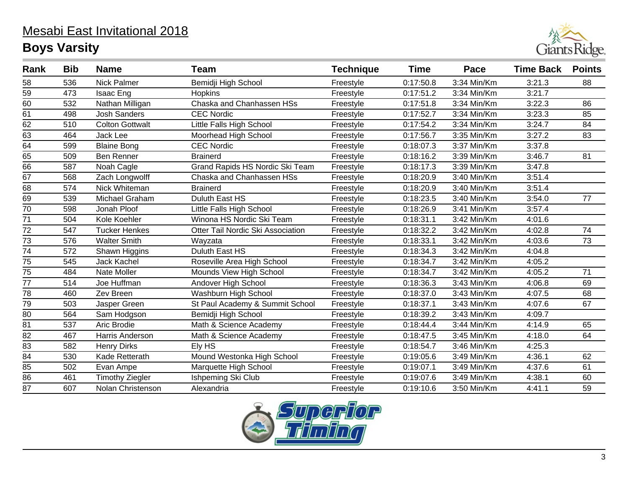

| Rank            | <b>Bib</b> | <b>Name</b>            | <b>Team</b>                       | <b>Technique</b> | <b>Time</b> | Pace        | <b>Time Back</b> | <b>Points</b> |
|-----------------|------------|------------------------|-----------------------------------|------------------|-------------|-------------|------------------|---------------|
| 58              | 536        | <b>Nick Palmer</b>     | Bemidji High School               | Freestyle        | 0:17:50.8   | 3:34 Min/Km | 3:21.3           | 88            |
| 59              | 473        | Isaac Eng              | <b>Hopkins</b>                    | Freestyle        | 0:17:51.2   | 3:34 Min/Km | 3:21.7           |               |
| 60              | 532        | Nathan Milligan        | Chaska and Chanhassen HSs         | Freestyle        | 0:17:51.8   | 3:34 Min/Km | 3:22.3           | 86            |
| 61              | 498        | <b>Josh Sanders</b>    | <b>CEC Nordic</b>                 | Freestyle        | 0:17:52.7   | 3:34 Min/Km | 3:23.3           | 85            |
| $\overline{62}$ | 510        | <b>Colton Gottwalt</b> | Little Falls High School          | Freestyle        | 0:17:54.2   | 3:34 Min/Km | 3:24.7           | 84            |
| $\overline{63}$ | 464        | Jack Lee               | Moorhead High School              | Freestyle        | 0:17:56.7   | 3:35 Min/Km | 3:27.2           | 83            |
| 64              | 599        | <b>Blaine Bong</b>     | <b>CEC Nordic</b>                 | Freestyle        | 0:18:07.3   | 3:37 Min/Km | 3:37.8           |               |
| 65              | 509        | Ben Renner             | <b>Brainerd</b>                   | Freestyle        | 0:18:16.2   | 3:39 Min/Km | 3:46.7           | 81            |
| 66              | 587        | Noah Cagle             | Grand Rapids HS Nordic Ski Team   | Freestyle        | 0:18:17.3   | 3:39 Min/Km | 3:47.8           |               |
| 67              | 568        | Zach Longwolff         | Chaska and Chanhassen HSs         | Freestyle        | 0:18:20.9   | 3:40 Min/Km | 3:51.4           |               |
| 68              | 574        | Nick Whiteman          | <b>Brainerd</b>                   | Freestyle        | 0:18:20.9   | 3:40 Min/Km | 3:51.4           |               |
| 69              | 539        | Michael Graham         | Duluth East HS                    | Freestyle        | 0:18:23.5   | 3:40 Min/Km | 3:54.0           | 77            |
| $\overline{70}$ | 598        | Jonah Ploof            | Little Falls High School          | Freestyle        | 0:18:26.9   | 3:41 Min/Km | 3:57.4           |               |
| 71              | 504        | Kole Koehler           | Winona HS Nordic Ski Team         | Freestyle        | 0:18:31.1   | 3:42 Min/Km | 4:01.6           |               |
| $\overline{72}$ | 547        | <b>Tucker Henkes</b>   | Otter Tail Nordic Ski Association | Freestyle        | 0:18:32.2   | 3:42 Min/Km | 4:02.8           | 74            |
| 73              | 576        | <b>Walter Smith</b>    | Wayzata                           | Freestyle        | 0:18:33.1   | 3:42 Min/Km | 4:03.6           | 73            |
| $\overline{74}$ | 572        | Shawn Higgins          | Duluth East HS                    | Freestyle        | 0:18:34.3   | 3:42 Min/Km | 4:04.8           |               |
| 75              | 545        | Jack Kachel            | Roseville Area High School        | Freestyle        | 0:18:34.7   | 3:42 Min/Km | 4:05.2           |               |
| 75              | 484        | Nate Moller            | Mounds View High School           | Freestyle        | 0:18:34.7   | 3:42 Min/Km | 4:05.2           | 71            |
| 77              | 514        | Joe Huffman            | Andover High School               | Freestyle        | 0:18:36.3   | 3:43 Min/Km | 4:06.8           | 69            |
| 78              | 460        | Zev Breen              | Washburn High School              | Freestyle        | 0:18:37.0   | 3:43 Min/Km | 4:07.5           | 68            |
| 79              | 503        | Jasper Green           | St Paul Academy & Summit School   | Freestyle        | 0:18:37.1   | 3:43 Min/Km | 4:07.6           | 67            |
| 80              | 564        | Sam Hodgson            | Bemidji High School               | Freestyle        | 0:18:39.2   | 3:43 Min/Km | 4:09.7           |               |
| $\overline{81}$ | 537        | Aric Brodie            | Math & Science Academy            | Freestyle        | 0:18:44.4   | 3:44 Min/Km | 4:14.9           | 65            |
| 82              | 467        | Harris Anderson        | Math & Science Academy            | Freestyle        | 0:18:47.5   | 3:45 Min/Km | 4:18.0           | 64            |
| $\overline{83}$ | 582        | <b>Henry Dirks</b>     | Ely HS                            | Freestyle        | 0:18:54.7   | 3:46 Min/Km | 4:25.3           |               |
| $\overline{84}$ | 530        | Kade Retterath         | Mound Westonka High School        | Freestyle        | 0:19:05.6   | 3:49 Min/Km | 4:36.1           | 62            |
| 85              | 502        | Evan Ampe              | Marquette High School             | Freestyle        | 0:19:07.1   | 3:49 Min/Km | 4:37.6           | 61            |
| 86              | 461        | <b>Timothy Ziegler</b> | Ishpeming Ski Club                | Freestyle        | 0:19:07.6   | 3:49 Min/Km | 4:38.1           | 60            |
| 87              | 607        | Nolan Christenson      | Alexandria                        | Freestyle        | 0:19:10.6   | 3:50 Min/Km | 4:41.1           | 59            |

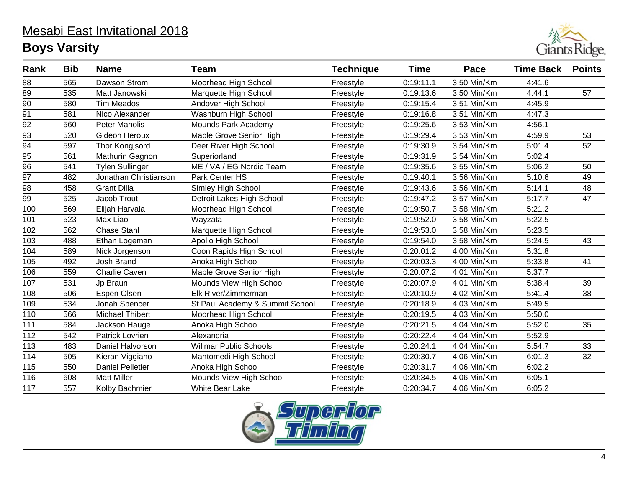

| Rank            | <b>Bib</b> | <b>Name</b>             | <b>Team</b>                     | <b>Technique</b> | <b>Time</b> | Pace        | <b>Time Back</b> | <b>Points</b> |
|-----------------|------------|-------------------------|---------------------------------|------------------|-------------|-------------|------------------|---------------|
| 88              | 565        | Dawson Strom            | Moorhead High School            | Freestyle        | 0:19:11.1   | 3:50 Min/Km | 4:41.6           |               |
| 89              | 535        | Matt Janowski           | Marquette High School           | Freestyle        | 0:19:13.6   | 3:50 Min/Km | 4:44.1           | 57            |
| $\overline{90}$ | 580        | <b>Tim Meados</b>       | Andover High School             | Freestyle        | 0:19:15.4   | 3:51 Min/Km | 4:45.9           |               |
| 91              | 581        | Nico Alexander          | Washburn High School            | Freestyle        | 0:19:16.8   | 3:51 Min/Km | 4:47.3           |               |
| $\overline{92}$ | 560        | <b>Peter Manolis</b>    | Mounds Park Academy             | Freestyle        | 0:19:25.6   | 3:53 Min/Km | 4:56.1           |               |
| 93              | 520        | Gideon Heroux           | Maple Grove Senior High         | Freestyle        | 0:19:29.4   | 3:53 Min/Km | 4:59.9           | 53            |
| $\overline{94}$ | 597        | Thor Kongjsord          | Deer River High School          | Freestyle        | 0:19:30.9   | 3:54 Min/Km | 5:01.4           | 52            |
| $\overline{95}$ | 561        | Mathurin Gagnon         | Superiorland                    | Freestyle        | 0:19:31.9   | 3:54 Min/Km | 5:02.4           |               |
| $\overline{96}$ | 541        | Tylen Sullinger         | ME / VA / EG Nordic Team        | Freestyle        | 0:19:35.6   | 3:55 Min/Km | 5:06.2           | 50            |
| 97              | 482        | Jonathan Christianson   | Park Center HS                  | Freestyle        | 0:19:40.1   | 3:56 Min/Km | 5:10.6           | 49            |
| $\overline{98}$ | 458        | <b>Grant Dilla</b>      | Simley High School              | Freestyle        | 0:19:43.6   | 3:56 Min/Km | 5:14.1           | 48            |
| 99              | 525        | Jacob Trout             | Detroit Lakes High School       | Freestyle        | 0:19:47.2   | 3:57 Min/Km | 5:17.7           | 47            |
| 100             | 569        | Elijah Harvala          | Moorhead High School            | Freestyle        | 0:19:50.7   | 3:58 Min/Km | 5:21.2           |               |
| 101             | 523        | Max Liao                | Wayzata                         | Freestyle        | 0:19:52.0   | 3:58 Min/Km | 5:22.5           |               |
| 102             | 562        | <b>Chase Stahl</b>      | Marquette High School           | Freestyle        | 0:19:53.0   | 3:58 Min/Km | 5:23.5           |               |
| 103             | 488        | Ethan Logeman           | Apollo High School              | Freestyle        | 0:19:54.0   | 3:58 Min/Km | 5:24.5           | 43            |
| 104             | 589        | Nick Jorgenson          | Coon Rapids High School         | Freestyle        | 0:20:01.2   | 4:00 Min/Km | 5:31.8           |               |
| 105             | 492        | Josh Brand              | Anoka High Schoo                | Freestyle        | 0:20:03.3   | 4:00 Min/Km | 5:33.8           | 41            |
| 106             | 559        | Charlie Caven           | Maple Grove Senior High         | Freestyle        | 0:20:07.2   | 4:01 Min/Km | 5:37.7           |               |
| 107             | 531        | Jp Braun                | Mounds View High School         | Freestyle        | 0:20:07.9   | 4:01 Min/Km | 5:38.4           | 39            |
| 108             | 506        | Espen Olsen             | Elk River/Zimmerman             | Freestyle        | 0:20:10.9   | 4:02 Min/Km | 5:41.4           | 38            |
| 109             | 534        | Jonah Spencer           | St Paul Academy & Summit School | Freestyle        | 0:20:18.9   | 4:03 Min/Km | 5:49.5           |               |
| 110             | 566        | <b>Michael Thibert</b>  | Moorhead High School            | Freestyle        | 0:20:19.5   | 4:03 Min/Km | 5:50.0           |               |
| 111             | 584        | Jackson Hauge           | Anoka High Schoo                | Freestyle        | 0:20:21.5   | 4:04 Min/Km | 5:52.0           | 35            |
| 112             | 542        | Patrick Lovrien         | Alexandria                      | Freestyle        | 0:20:22.4   | 4:04 Min/Km | 5:52.9           |               |
| 113             | 483        | Daniel Halvorson        | <b>Willmar Public Schools</b>   | Freestyle        | 0:20:24.1   | 4:04 Min/Km | 5:54.7           | 33            |
| 114             | 505        | Kieran Viggiano         | Mahtomedi High School           | Freestyle        | 0:20:30.7   | 4:06 Min/Km | 6:01.3           | 32            |
| 115             | 550        | <b>Daniel Pelletier</b> | Anoka High Schoo                | Freestyle        | 0:20:31.7   | 4:06 Min/Km | 6:02.2           |               |
| 116             | 608        | <b>Matt Miller</b>      | Mounds View High School         | Freestyle        | 0:20:34.5   | 4:06 Min/Km | 6:05.1           |               |
| 117             | 557        | Kolby Bachmier          | <b>White Bear Lake</b>          | Freestyle        | 0:20:34.7   | 4:06 Min/Km | 6:05.2           |               |